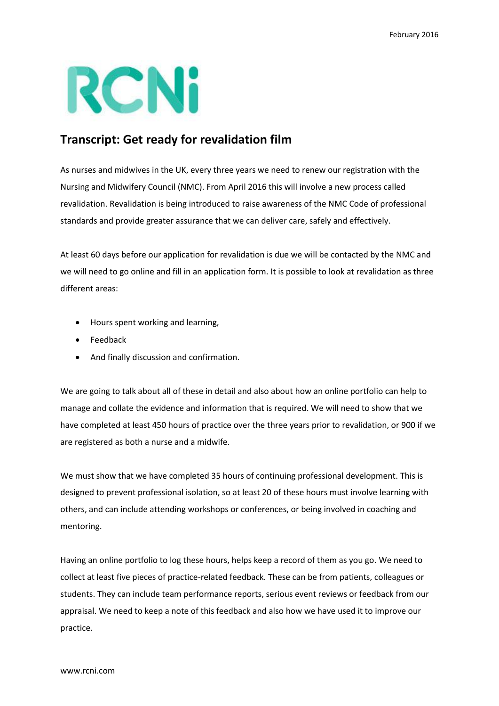## RCNi

## **Transcript: Get ready for revalidation film**

As nurses and midwives in the UK, every three years we need to renew our registration with the Nursing and Midwifery Council (NMC). From April 2016 this will involve a new process called revalidation. Revalidation is being introduced to raise awareness of the NMC Code of professional standards and provide greater assurance that we can deliver care, safely and effectively.

At least 60 days before our application for revalidation is due we will be contacted by the NMC and we will need to go online and fill in an application form. It is possible to look at revalidation as three different areas:

- Hours spent working and learning,
- Feedback
- And finally discussion and confirmation.

We are going to talk about all of these in detail and also about how an online portfolio can help to manage and collate the evidence and information that is required. We will need to show that we have completed at least 450 hours of practice over the three years prior to revalidation, or 900 if we are registered as both a nurse and a midwife.

We must show that we have completed 35 hours of continuing professional development. This is designed to prevent professional isolation, so at least 20 of these hours must involve learning with others, and can include attending workshops or conferences, or being involved in coaching and mentoring.

Having an online portfolio to log these hours, helps keep a record of them as you go. We need to collect at least five pieces of practice-related feedback. These can be from patients, colleagues or students. They can include team performance reports, serious event reviews or feedback from our appraisal. We need to keep a note of this feedback and also how we have used it to improve our practice.